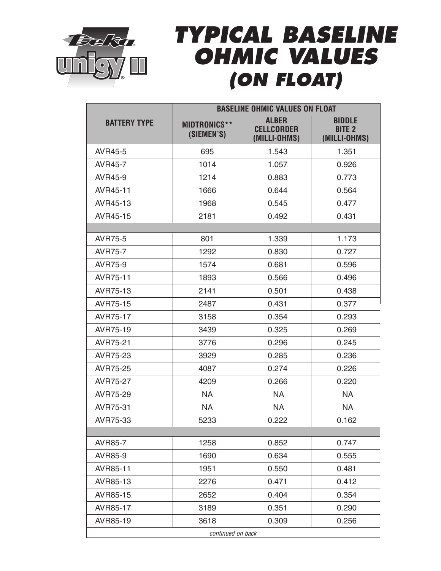

## *TYPICAL BASELINE OHMIC VALUES (ON FLOAT)*

|                     | <b>BASELINE OHMIC VALUES ON FLOAT</b> |                                                   |                                                |  |
|---------------------|---------------------------------------|---------------------------------------------------|------------------------------------------------|--|
| <b>BATTERY TYPE</b> | <b>MIDTRONICS**</b><br>(SIEMEN'S)     | <b>ALBER</b><br><b>CELLCORDER</b><br>(MILLI-OHMS) | <b>BIDDLE</b><br><b>BITE 2</b><br>(MILLI-OHMS) |  |
| AVR45-5             | 695                                   | 1.543                                             | 1.351                                          |  |
| AVR45-7             | 1014                                  | 1.057                                             | 0.926                                          |  |
| AVR45-9             | 1214                                  | 0.883                                             | 0.773                                          |  |
| AVR45-11            | 1666                                  | 0.644                                             | 0.564                                          |  |
| AVR45-13            | 1968                                  | 0.545                                             | 0.477                                          |  |
| AVR45-15            | 2181                                  | 0.492                                             | 0.431                                          |  |
|                     |                                       |                                                   |                                                |  |
| <b>AVR75-5</b>      | 801                                   | 1.339                                             | 1.173                                          |  |
| <b>AVR75-7</b>      | 1292                                  | 0.830                                             | 0.727                                          |  |
| <b>AVR75-9</b>      | 1574                                  | 0.681                                             | 0.596                                          |  |
| AVR75-11            | 1893                                  | 0.566                                             | 0.496                                          |  |
| AVR75-13            | 2141                                  | 0.501                                             | 0.438                                          |  |
| AVR75-15            | 2487                                  | 0.431                                             | 0.377                                          |  |
| AVR75-17            | 3158                                  | 0.354                                             | 0.293                                          |  |
| AVR75-19            | 3439                                  | 0.325                                             | 0.269                                          |  |
| AVR75-21            | 3776                                  | 0.296                                             | 0.245                                          |  |
| AVR75-23            | 3929                                  | 0.285                                             | 0.236                                          |  |
| AVR75-25            | 4087                                  | 0.274                                             | 0.226                                          |  |
| AVR75-27            | 4209                                  | 0.266                                             | 0.220                                          |  |
| AVR75-29            | NA.                                   | NA.                                               | <b>NA</b>                                      |  |
| AVR75-31            | <b>NA</b>                             | <b>NA</b>                                         | <b>NA</b>                                      |  |
| AVR75-33            | 5233                                  | 0.222                                             | 0.162                                          |  |
|                     |                                       |                                                   |                                                |  |
| <b>AVR85-7</b>      | 1258                                  | 0.852                                             | 0.747                                          |  |
| AVR85-9             | 1690                                  | 0.634                                             | 0.555                                          |  |
| AVR85-11            | 1951                                  | 0.550                                             | 0.481                                          |  |
| AVR85-13            | 2276                                  | 0.471                                             | 0.412                                          |  |
| AVR85-15            | 2652                                  | 0.404                                             | 0.354                                          |  |
| AVR85-17            | 3189                                  | 0.351                                             | 0.290                                          |  |
| AVR85-19            | 3618                                  | 0.309                                             | 0.256                                          |  |
| continued on back   |                                       |                                                   |                                                |  |